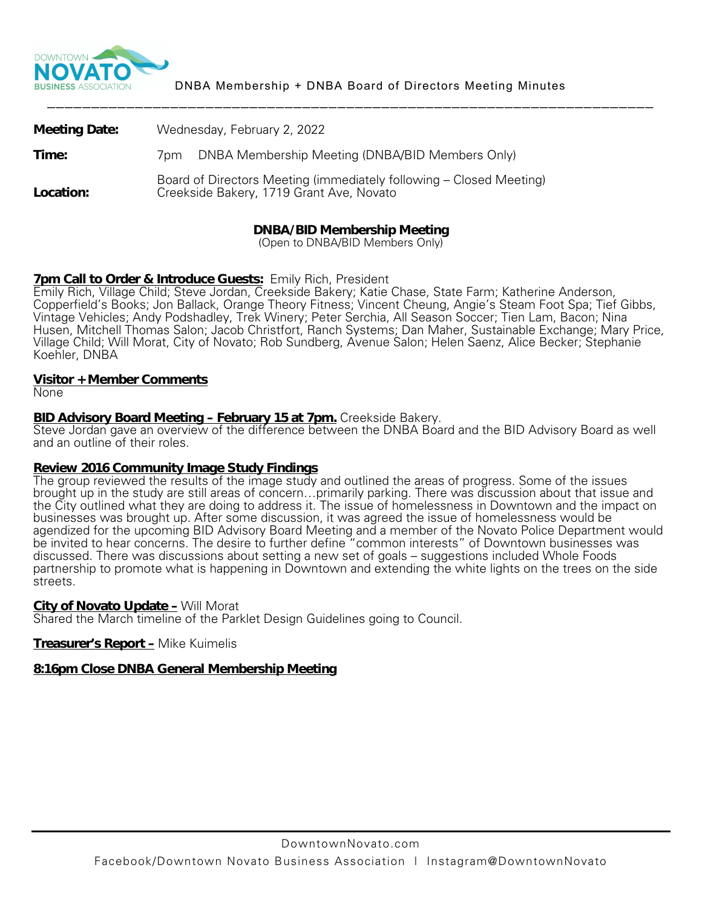

| <b>Meeting Date:</b> | Wednesday, February 2, 2022                                                                                     |
|----------------------|-----------------------------------------------------------------------------------------------------------------|
| Time:                | DNBA Membership Meeting (DNBA/BID Members Only)<br>/pm                                                          |
| Location:            | Board of Directors Meeting (immediately following – Closed Meeting)<br>Creekside Bakery, 1719 Grant Ave, Novato |

# **DNBA/BID Membership Meeting**

(Open to DNBA/BID Members Only)

#### **7pm Call to Order & Introduce Guests:** Emily Rich, President

Emily Rich, Village Child; Steve Jordan, Creekside Bakery; Katie Chase, State Farm; Katherine Anderson, Copperfield's Books; Jon Ballack, Orange Theory Fitness; Vincent Cheung, Angie's Steam Foot Spa; Tief Gibbs, Vintage Vehicles; Andy Podshadley, Trek Winery; Peter Serchia, All Season Soccer; Tien Lam, Bacon; Nina Husen, Mitchell Thomas Salon; Jacob Christfort, Ranch Systems; Dan Maher, Sustainable Exchange; Mary Price, Village Child; Will Morat, City of Novato; Rob Sundberg, Avenue Salon; Helen Saenz, Alice Becker; Stephanie Koehler, DNBA

#### **Visitor + Member Comments**

None

#### **BID Advisory Board Meeting – February 15 at 7pm.** Creekside Bakery.

Steve Jordan gave an overview of the difference between the DNBA Board and the BID Advisory Board as well and an outline of their roles.

#### **Review 2016 Community Image Study Findings**

The group reviewed the results of the image study and outlined the areas of progress. Some of the issues brought up in the study are still areas of concern…primarily parking. There was discussion about that issue and the City outlined what they are doing to address it. The issue of homelessness in Downtown and the impact on businesses was brought up. After some discussion, it was agreed the issue of homelessness would be agendized for the upcoming BID Advisory Board Meeting and a member of the Novato Police Department would be invited to hear concerns. The desire to further define "common interests" of Downtown businesses was discussed. There was discussions about setting a new set of goals – suggestions included Whole Foods partnership to promote what is happening in Downtown and extending the white lights on the trees on the side streets.

#### **City of Novato Update -** Will Morat

Shared the March timeline of the Parklet Design Guidelines going to Council.

#### **Treasurer's Report –** Mike Kuimelis

#### **8:16pm Close DNBA General Membership Meeting**